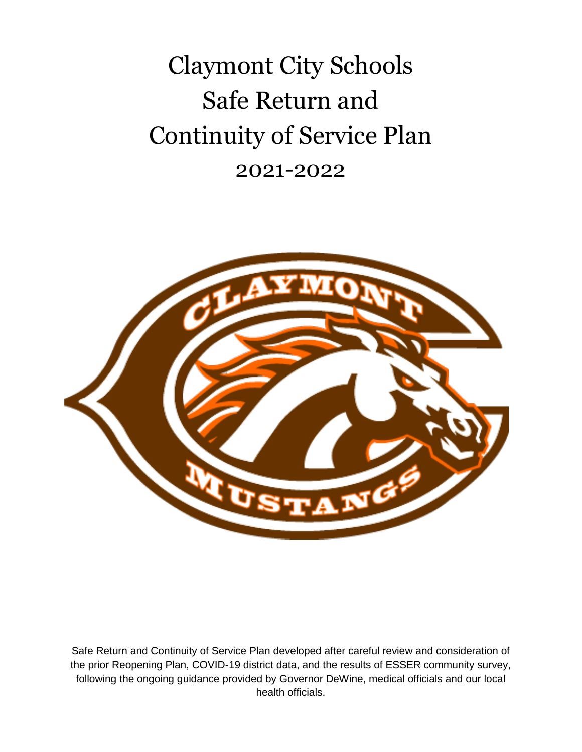Claymont City Schools Safe Return and Continuity of Service Plan 2021-2022



Safe Return and Continuity of Service Plan developed after careful review and consideration of the prior Reopening Plan, COVID-19 district data, and the results of ESSER community survey, following the ongoing guidance provided by Governor DeWine, medical officials and our local health officials.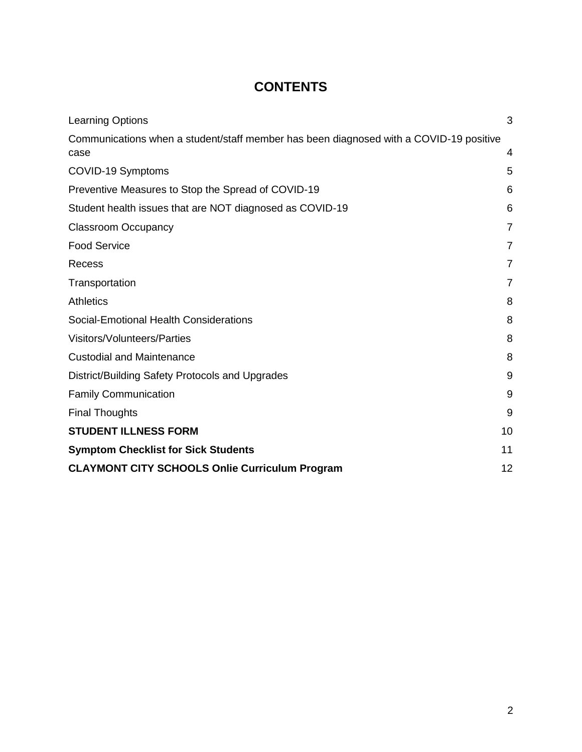### **CONTENTS**

| <b>Learning Options</b>                                                                        | 3              |
|------------------------------------------------------------------------------------------------|----------------|
| Communications when a student/staff member has been diagnosed with a COVID-19 positive<br>case | 4              |
| COVID-19 Symptoms                                                                              | 5              |
| Preventive Measures to Stop the Spread of COVID-19                                             | 6              |
| Student health issues that are NOT diagnosed as COVID-19                                       | 6              |
| <b>Classroom Occupancy</b>                                                                     | $\overline{7}$ |
| <b>Food Service</b>                                                                            | 7              |
| Recess                                                                                         | 7              |
| Transportation                                                                                 | 7              |
| <b>Athletics</b>                                                                               | 8              |
| Social-Emotional Health Considerations                                                         | 8              |
| Visitors/Volunteers/Parties                                                                    | 8              |
| <b>Custodial and Maintenance</b>                                                               | 8              |
| District/Building Safety Protocols and Upgrades                                                | 9              |
| <b>Family Communication</b>                                                                    | 9              |
| <b>Final Thoughts</b>                                                                          | 9              |
| <b>STUDENT ILLNESS FORM</b>                                                                    | 10             |
| <b>Symptom Checklist for Sick Students</b>                                                     | 11             |
| <b>CLAYMONT CITY SCHOOLS Onlie Curriculum Program</b>                                          | 12             |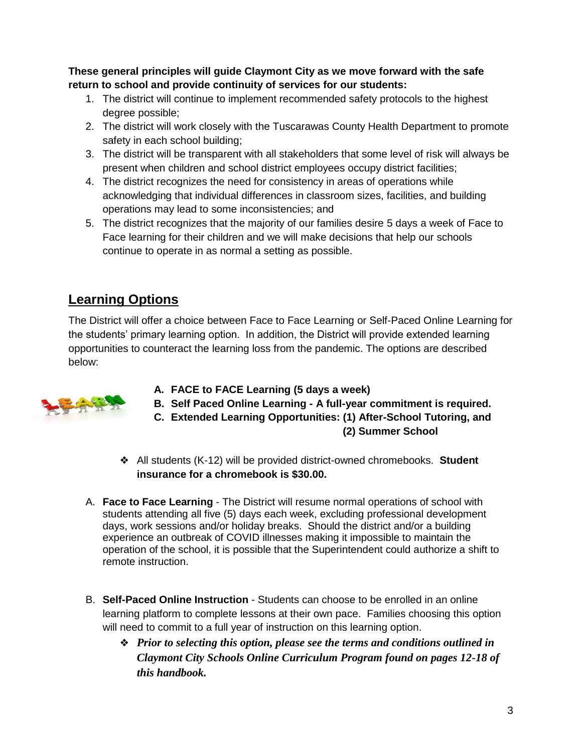**These general principles will guide Claymont City as we move forward with the safe return to school and provide continuity of services for our students:**

- 1. The district will continue to implement recommended safety protocols to the highest degree possible;
- 2. The district will work closely with the Tuscarawas County Health Department to promote safety in each school building;
- 3. The district will be transparent with all stakeholders that some level of risk will always be present when children and school district employees occupy district facilities;
- 4. The district recognizes the need for consistency in areas of operations while acknowledging that individual differences in classroom sizes, facilities, and building operations may lead to some inconsistencies; and
- 5. The district recognizes that the majority of our families desire 5 days a week of Face to Face learning for their children and we will make decisions that help our schools continue to operate in as normal a setting as possible.

### <span id="page-2-0"></span>**Learning Options**

The District will offer a choice between Face to Face Learning or Self-Paced Online Learning for the students' primary learning option. In addition, the District will provide extended learning opportunities to counteract the learning loss from the pandemic. The options are described below:



- **A. FACE to FACE Learning (5 days a week)**
- **B. Self Paced Online Learning - A full-year commitment is required.**
- **C. Extended Learning Opportunities: (1) After-School Tutoring, and (2) Summer School**
- ❖ All students (K-12) will be provided district-owned chromebooks. **Student insurance for a chromebook is \$30.00.**
- A. **Face to Face Learning** The District will resume normal operations of school with students attending all five (5) days each week, excluding professional development days, work sessions and/or holiday breaks. Should the district and/or a building experience an outbreak of COVID illnesses making it impossible to maintain the operation of the school, it is possible that the Superintendent could authorize a shift to remote instruction.
- B. **Self-Paced Online Instruction** Students can choose to be enrolled in an online learning platform to complete lessons at their own pace. Families choosing this option will need to commit to a full year of instruction on this learning option.
	- ❖ *Prior to selecting this option, please see the terms and conditions outlined in Claymont City Schools Online Curriculum Program found on pages 12-18 of this handbook.*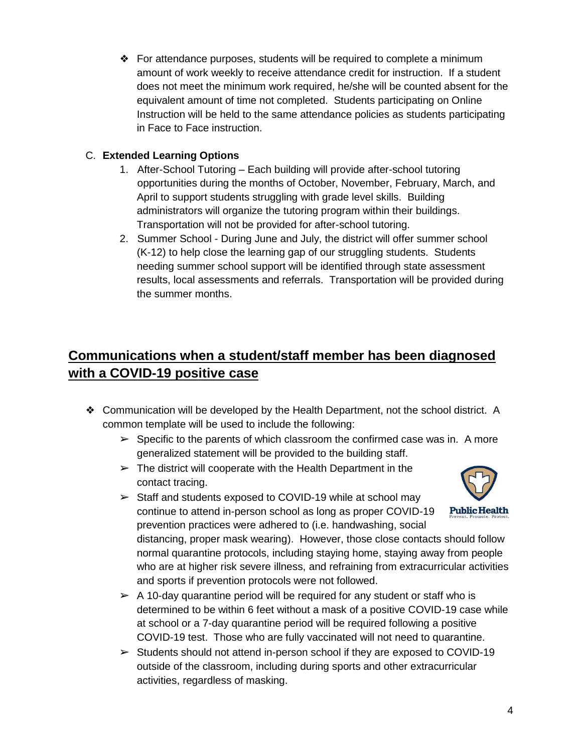❖ For attendance purposes, students will be required to complete a minimum amount of work weekly to receive attendance credit for instruction. If a student does not meet the minimum work required, he/she will be counted absent for the equivalent amount of time not completed. Students participating on Online Instruction will be held to the same attendance policies as students participating in Face to Face instruction.

#### C. **Extended Learning Options**

- 1. After-School Tutoring Each building will provide after-school tutoring opportunities during the months of October, November, February, March, and April to support students struggling with grade level skills. Building administrators will organize the tutoring program within their buildings. Transportation will not be provided for after-school tutoring.
- 2. Summer School During June and July, the district will offer summer school (K-12) to help close the learning gap of our struggling students. Students needing summer school support will be identified through state assessment results, local assessments and referrals. Transportation will be provided during the summer months.

## <span id="page-3-0"></span>**Communications when a student/staff member has been diagnosed with a COVID-19 positive case**

- ❖ Communication will be developed by the Health Department, not the school district. A common template will be used to include the following:
	- $\triangleright$  Specific to the parents of which classroom the confirmed case was in. A more generalized statement will be provided to the building staff.
	- $\triangleright$  The district will cooperate with the Health Department in the contact tracing.
	- $\geq$  Staff and students exposed to COVID-19 while at school may continue to attend in-person school as long as proper COVID-19 prevention practices were adhered to (i.e. handwashing, social

**Public Health** 

distancing, proper mask wearing). However, those close contacts should follow normal quarantine protocols, including staying home, staying away from people who are at higher risk severe illness, and refraining from extracurricular activities and sports if prevention protocols were not followed.

- $\triangleright$  A 10-day quarantine period will be required for any student or staff who is determined to be within 6 feet without a mask of a positive COVID-19 case while at school or a 7-day quarantine period will be required following a positive COVID-19 test. Those who are fully vaccinated will not need to quarantine.
- $\geq$  Students should not attend in-person school if they are exposed to COVID-19 outside of the classroom, including during sports and other extracurricular activities, regardless of masking.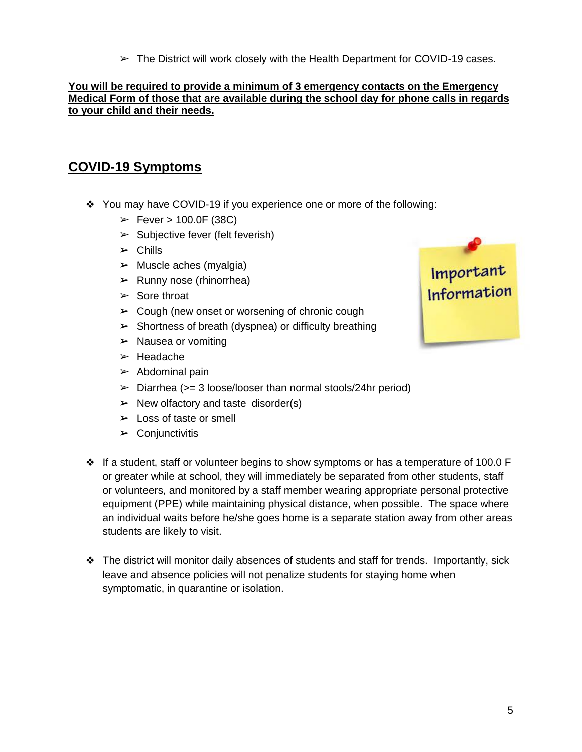$\triangleright$  The District will work closely with the Health Department for COVID-19 cases.

#### **You will be required to provide a minimum of 3 emergency contacts on the Emergency Medical Form of those that are available during the school day for phone calls in regards to your child and their needs.**

#### <span id="page-4-0"></span>**COVID-19 Symptoms**

- ❖ You may have COVID-19 if you experience one or more of the following:
	- $\blacktriangleright$  Fever  $> 100.0$ F (38C)
	- $\blacktriangleright$  Subjective fever (felt feverish)
	- $\triangleright$  Chills
	- $\triangleright$  Muscle aches (myalgia)
	- $\triangleright$  Runny nose (rhinorrhea)
	- $\triangleright$  Sore throat
	- $\geq$  Cough (new onset or worsening of chronic cough
	- $\triangleright$  Shortness of breath (dyspnea) or difficulty breathing
	- $\triangleright$  Nausea or vomiting
	- ➢ Headache
	- $\blacktriangleright$  Abdominal pain
	- $\geq$  Diarrhea ( $>=$  3 loose/looser than normal stools/24hr period)
	- $\triangleright$  New olfactory and taste disorder(s)
	- $\geq$  Loss of taste or smell
	- $\triangleright$  Conjunctivitis
- ❖ If a student, staff or volunteer begins to show symptoms or has a temperature of 100.0 F or greater while at school, they will immediately be separated from other students, staff or volunteers, and monitored by a staff member wearing appropriate personal protective equipment (PPE) while maintaining physical distance, when possible. The space where an individual waits before he/she goes home is a separate station away from other areas students are likely to visit.
- ❖ The district will monitor daily absences of students and staff for trends. Importantly, sick leave and absence policies will not penalize students for staying home when symptomatic, in quarantine or isolation.

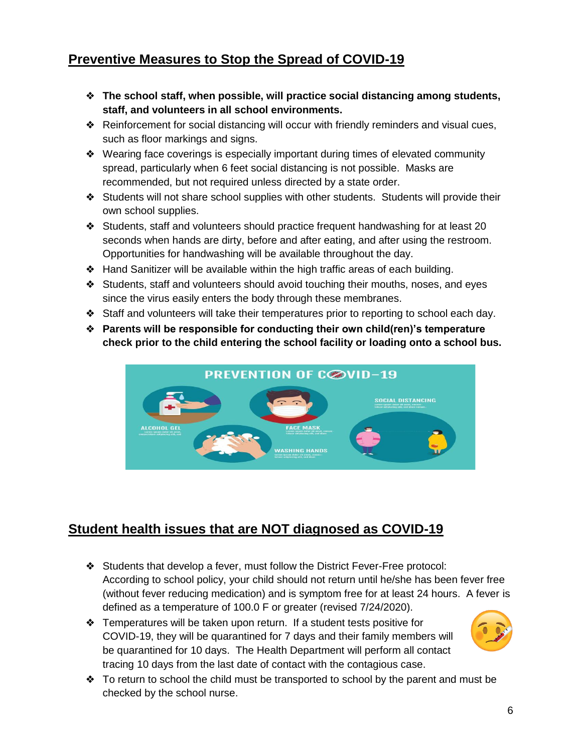### <span id="page-5-0"></span>**Preventive Measures to Stop the Spread of COVID-19**

- ❖ **The school staff, when possible, will practice social distancing among students, staff, and volunteers in all school environments.**
- ❖ Reinforcement for social distancing will occur with friendly reminders and visual cues, such as floor markings and signs.
- ❖ Wearing face coverings is especially important during times of elevated community spread, particularly when 6 feet social distancing is not possible. Masks are recommended, but not required unless directed by a state order.
- ❖ Students will not share school supplies with other students. Students will provide their own school supplies.
- ❖ Students, staff and volunteers should practice frequent handwashing for at least 20 seconds when hands are dirty, before and after eating, and after using the restroom. Opportunities for handwashing will be available throughout the day.
- ❖ Hand Sanitizer will be available within the high traffic areas of each building.
- ❖ Students, staff and volunteers should avoid touching their mouths, noses, and eyes since the virus easily enters the body through these membranes.
- ❖ Staff and volunteers will take their temperatures prior to reporting to school each day.
- ❖ **Parents will be responsible for conducting their own child(ren)'s temperature check prior to the child entering the school facility or loading onto a school bus.**



### <span id="page-5-1"></span>**Student health issues that are NOT diagnosed as COVID-19**

- ❖ Students that develop a fever, must follow the District Fever-Free protocol: According to school policy, your child should not return until he/she has been fever free (without fever reducing medication) and is symptom free for at least 24 hours. A fever is defined as a temperature of 100.0 F or greater (revised 7/24/2020).
- ❖ Temperatures will be taken upon return. If a student tests positive for COVID-19, they will be quarantined for 7 days and their family members will be quarantined for 10 days. The Health Department will perform all contact tracing 10 days from the last date of contact with the contagious case.
- ❖ To return to school the child must be transported to school by the parent and must be checked by the school nurse.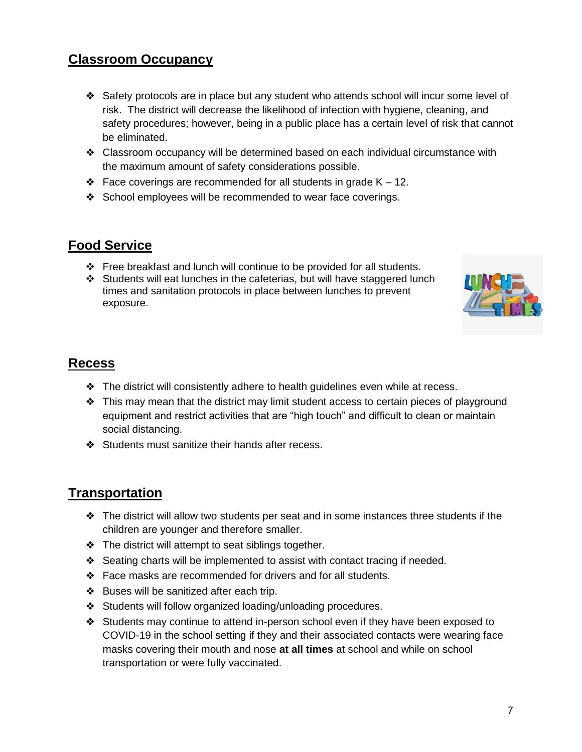#### <span id="page-6-0"></span>**Classroom Occupancy**

- ❖ Safety protocols are in place but any student who attends school will incur some level of risk. The district will decrease the likelihood of infection with hygiene, cleaning, and safety procedures; however, being in a public place has a certain level of risk that cannot be eliminated.
- ❖ Classroom occupancy will be determined based on each individual circumstance with the maximum amount of safety considerations possible.
- $\triangleleft$  Face coverings are recommended for all students in grade K 12.
- ❖ School employees will be recommended to wear face coverings.

#### <span id="page-6-1"></span>**Food Service**

- ❖ Free breakfast and lunch will continue to be provided for all students.
- ❖ Students will eat lunches in the cafeterias, but will have staggered lunch times and sanitation protocols in place between lunches to prevent exposure.



#### <span id="page-6-2"></span>**Recess**

- ❖ The district will consistently adhere to health guidelines even while at recess.
- ❖ This may mean that the district may limit student access to certain pieces of playground equipment and restrict activities that are "high touch" and difficult to clean or maintain social distancing.
- ❖ Students must sanitize their hands after recess.

#### <span id="page-6-3"></span>**Transportation**

- ❖ The district will allow two students per seat and in some instances three students if the children are younger and therefore smaller.
- ❖ The district will attempt to seat siblings together.
- ❖ Seating charts will be implemented to assist with contact tracing if needed.
- ❖ Face masks are recommended for drivers and for all students.
- ❖ Buses will be sanitized after each trip.
- ❖ Students will follow organized loading/unloading procedures.
- ❖ Students may continue to attend in-person school even if they have been exposed to COVID-19 in the school setting if they and their associated contacts were wearing face masks covering their mouth and nose **at all times** at school and while on school transportation or were fully vaccinated.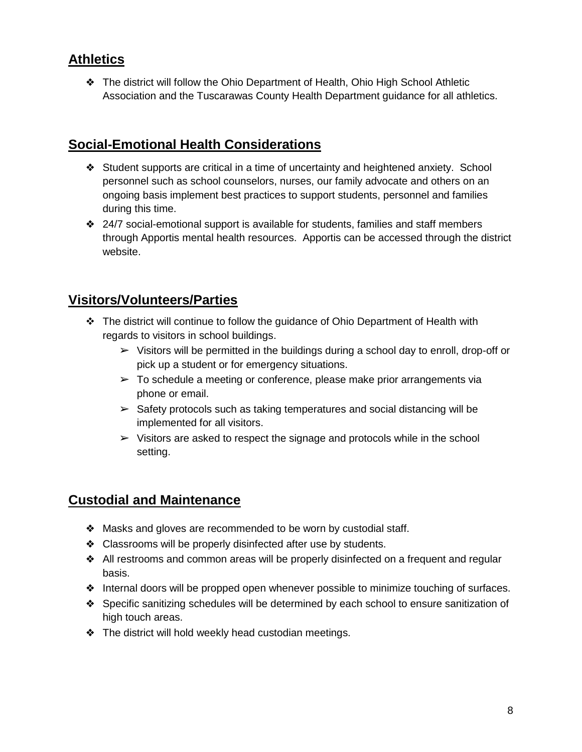#### <span id="page-7-0"></span>**Athletics**

❖ The district will follow the Ohio Department of Health, Ohio High School Athletic Association and the Tuscarawas County Health Department guidance for all athletics.

#### <span id="page-7-1"></span>**Social-Emotional Health Considerations**

- ❖ Student supports are critical in a time of uncertainty and heightened anxiety. School personnel such as school counselors, nurses, our family advocate and others on an ongoing basis implement best practices to support students, personnel and families during this time.
- ❖ 24/7 social-emotional support is available for students, families and staff members through Apportis mental health resources. Apportis can be accessed through the district website.

#### <span id="page-7-2"></span>**Visitors/Volunteers/Parties**

- ❖ The district will continue to follow the guidance of Ohio Department of Health with regards to visitors in school buildings.
	- $\triangleright$  Visitors will be permitted in the buildings during a school day to enroll, drop-off or pick up a student or for emergency situations.
	- $\geq$  To schedule a meeting or conference, please make prior arrangements via phone or email.
	- $\geq$  Safety protocols such as taking temperatures and social distancing will be implemented for all visitors.
	- $\triangleright$  Visitors are asked to respect the signage and protocols while in the school setting.

#### <span id="page-7-3"></span>**Custodial and Maintenance**

- ❖ Masks and gloves are recommended to be worn by custodial staff.
- ❖ Classrooms will be properly disinfected after use by students.
- ❖ All restrooms and common areas will be properly disinfected on a frequent and regular basis.
- ❖ Internal doors will be propped open whenever possible to minimize touching of surfaces.
- ❖ Specific sanitizing schedules will be determined by each school to ensure sanitization of high touch areas.
- ❖ The district will hold weekly head custodian meetings.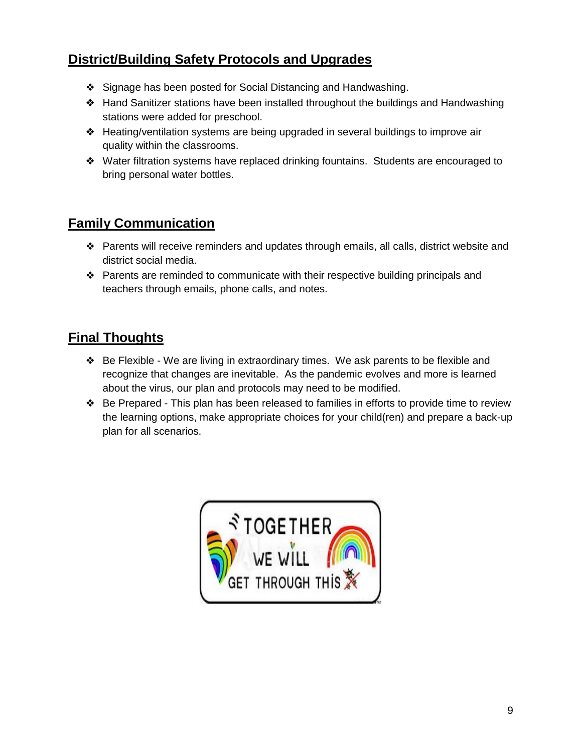### <span id="page-8-0"></span>**District/Building Safety Protocols and Upgrades**

- ❖ Signage has been posted for Social Distancing and Handwashing.
- ❖ Hand Sanitizer stations have been installed throughout the buildings and Handwashing stations were added for preschool.
- ❖ Heating/ventilation systems are being upgraded in several buildings to improve air quality within the classrooms.
- ❖ Water filtration systems have replaced drinking fountains. Students are encouraged to bring personal water bottles.

#### <span id="page-8-1"></span>**Family Communication**

- ❖ Parents will receive reminders and updates through emails, all calls, district website and district social media.
- ❖ Parents are reminded to communicate with their respective building principals and teachers through emails, phone calls, and notes.

#### <span id="page-8-2"></span>**Final Thoughts**

- ❖ Be Flexible We are living in extraordinary times. We ask parents to be flexible and recognize that changes are inevitable. As the pandemic evolves and more is learned about the virus, our plan and protocols may need to be modified.
- ❖ Be Prepared This plan has been released to families in efforts to provide time to review the learning options, make appropriate choices for your child(ren) and prepare a back-up plan for all scenarios.

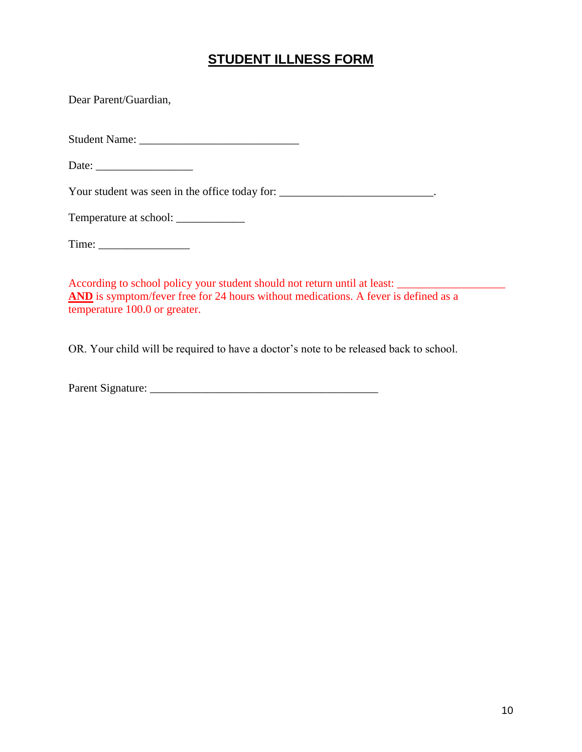#### **STUDENT ILLNESS FORM**

<span id="page-9-0"></span>Dear Parent/Guardian,

Student Name: \_\_\_\_\_\_\_\_\_\_\_\_\_\_\_\_\_\_\_\_\_\_\_\_\_\_\_\_

Date: \_\_\_\_\_\_\_\_\_\_\_\_\_\_\_\_\_

Your student was seen in the office today for: \_\_\_\_\_\_\_\_\_\_\_\_\_\_\_\_\_\_\_\_\_\_\_\_\_\_\_\_\_\_\_\_\_.

Temperature at school: \_\_\_\_\_\_\_\_\_\_\_\_

According to school policy your student should not return until at least: \_\_\_\_\_\_\_\_\_\_\_\_\_\_\_\_\_\_\_ AND is symptom/fever free for 24 hours without medications. A fever is defined as a temperature 100.0 or greater.

OR. Your child will be required to have a doctor's note to be released back to school.

Parent Signature: \_\_\_\_\_\_\_\_\_\_\_\_\_\_\_\_\_\_\_\_\_\_\_\_\_\_\_\_\_\_\_\_\_\_\_\_\_\_\_\_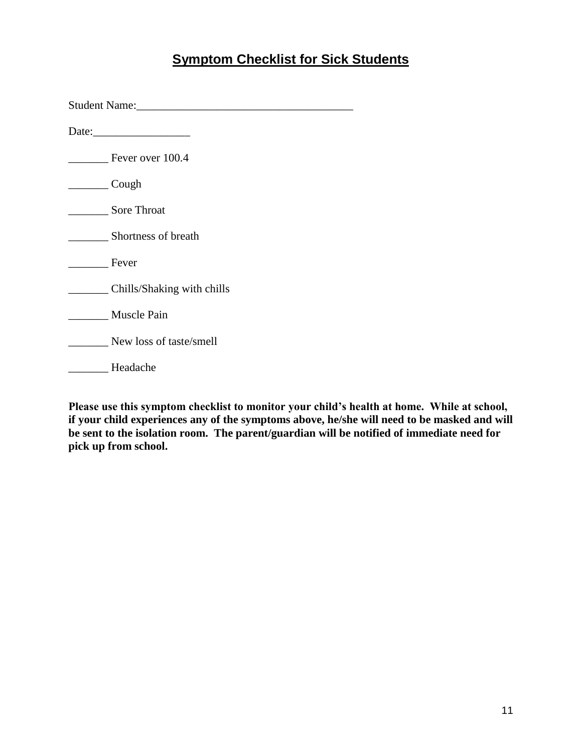### **Symptom Checklist for Sick Students**

<span id="page-10-0"></span>

| Student Name: Name and Student Name and Student Name and Student Name and Student Name and Student Student Student Student Student Student Student Student Student Student Student Student Student Student Student Student Stu |  |  |
|--------------------------------------------------------------------------------------------------------------------------------------------------------------------------------------------------------------------------------|--|--|
| Date: $\frac{1}{2}$ Date:                                                                                                                                                                                                      |  |  |
| Fever over 100.4                                                                                                                                                                                                               |  |  |
| Cough                                                                                                                                                                                                                          |  |  |
| <b>Sore Throat</b>                                                                                                                                                                                                             |  |  |
| Shortness of breath                                                                                                                                                                                                            |  |  |
| Fever                                                                                                                                                                                                                          |  |  |
| Chills/Shaking with chills                                                                                                                                                                                                     |  |  |
| Muscle Pain                                                                                                                                                                                                                    |  |  |
| New loss of taste/smell                                                                                                                                                                                                        |  |  |
| Headache                                                                                                                                                                                                                       |  |  |

**Please use this symptom checklist to monitor your child's health at home. While at school, if your child experiences any of the symptoms above, he/she will need to be masked and will be sent to the isolation room. The parent/guardian will be notified of immediate need for pick up from school.**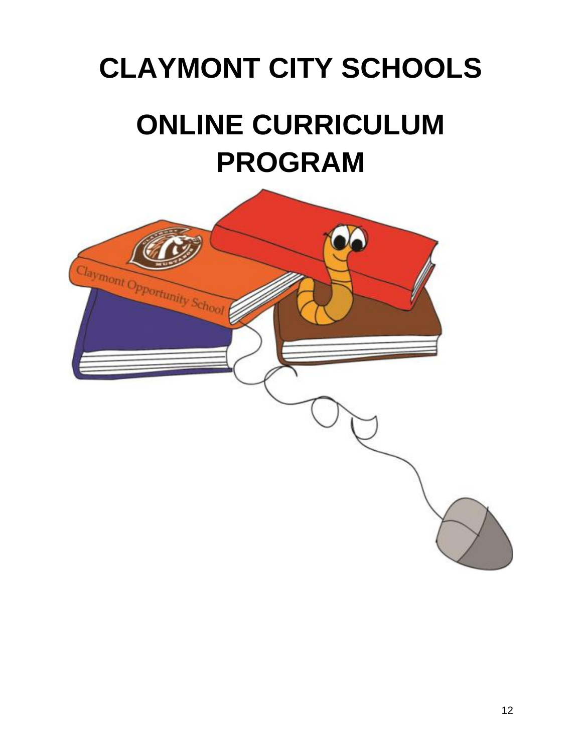# <span id="page-11-0"></span>**CLAYMONT CITY SCHOOLS ONLINE CURRICULUM PROGRAM**

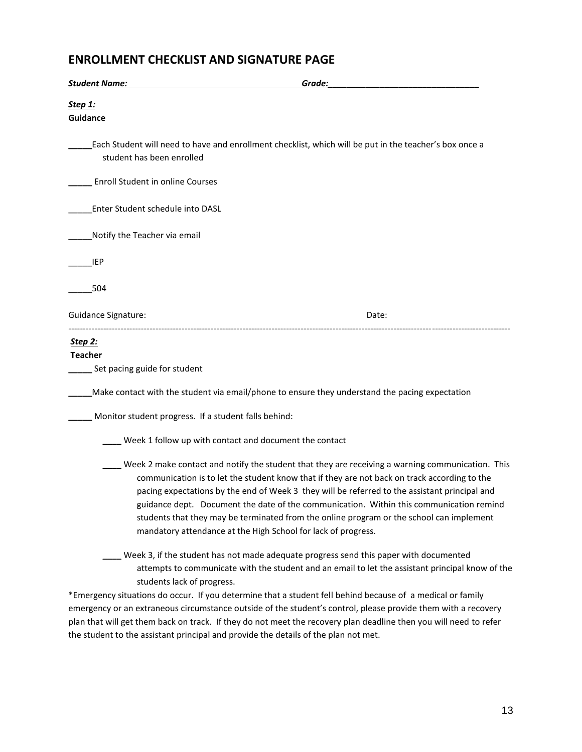#### **ENROLLMENT CHECKLIST AND SIGNATURE PAGE**

| <b>Student Name:</b>                                 | Grade:                                                                                                                                                                                                                                                                                                                                                                                                                                                                                                                                                    |
|------------------------------------------------------|-----------------------------------------------------------------------------------------------------------------------------------------------------------------------------------------------------------------------------------------------------------------------------------------------------------------------------------------------------------------------------------------------------------------------------------------------------------------------------------------------------------------------------------------------------------|
| Step 1:<br>Guidance                                  |                                                                                                                                                                                                                                                                                                                                                                                                                                                                                                                                                           |
| student has been enrolled                            | Each Student will need to have and enrollment checklist, which will be put in the teacher's box once a                                                                                                                                                                                                                                                                                                                                                                                                                                                    |
| Enroll Student in online Courses                     |                                                                                                                                                                                                                                                                                                                                                                                                                                                                                                                                                           |
| Enter Student schedule into DASL                     |                                                                                                                                                                                                                                                                                                                                                                                                                                                                                                                                                           |
| Notify the Teacher via email                         |                                                                                                                                                                                                                                                                                                                                                                                                                                                                                                                                                           |
| <b>IEP</b>                                           |                                                                                                                                                                                                                                                                                                                                                                                                                                                                                                                                                           |
| 504                                                  |                                                                                                                                                                                                                                                                                                                                                                                                                                                                                                                                                           |
| <b>Guidance Signature:</b>                           | Date:                                                                                                                                                                                                                                                                                                                                                                                                                                                                                                                                                     |
| Step 2:                                              |                                                                                                                                                                                                                                                                                                                                                                                                                                                                                                                                                           |
| <b>Teacher</b><br>Set pacing guide for student       |                                                                                                                                                                                                                                                                                                                                                                                                                                                                                                                                                           |
|                                                      | Make contact with the student via email/phone to ensure they understand the pacing expectation                                                                                                                                                                                                                                                                                                                                                                                                                                                            |
| Monitor student progress. If a student falls behind: |                                                                                                                                                                                                                                                                                                                                                                                                                                                                                                                                                           |
|                                                      | Week 1 follow up with contact and document the contact                                                                                                                                                                                                                                                                                                                                                                                                                                                                                                    |
|                                                      | Week 2 make contact and notify the student that they are receiving a warning communication. This<br>communication is to let the student know that if they are not back on track according to the<br>pacing expectations by the end of Week 3 they will be referred to the assistant principal and<br>guidance dept. Document the date of the communication. Within this communication remind<br>students that they may be terminated from the online program or the school can implement<br>mandatory attendance at the High School for lack of progress. |
| students lack of progress.                           | Week 3, if the student has not made adequate progress send this paper with documented<br>attempts to communicate with the student and an email to let the assistant principal know of the<br>*Emergency situations do occur. If you determine that a student fell behind because of a medical or family<br>emergency or an extraneous circumstance outside of the student's control, please provide them with a recovery                                                                                                                                  |

plan that will get them back on track. If they do not meet the recovery plan deadline then you will need to refer the student to the assistant principal and provide the details of the plan not met.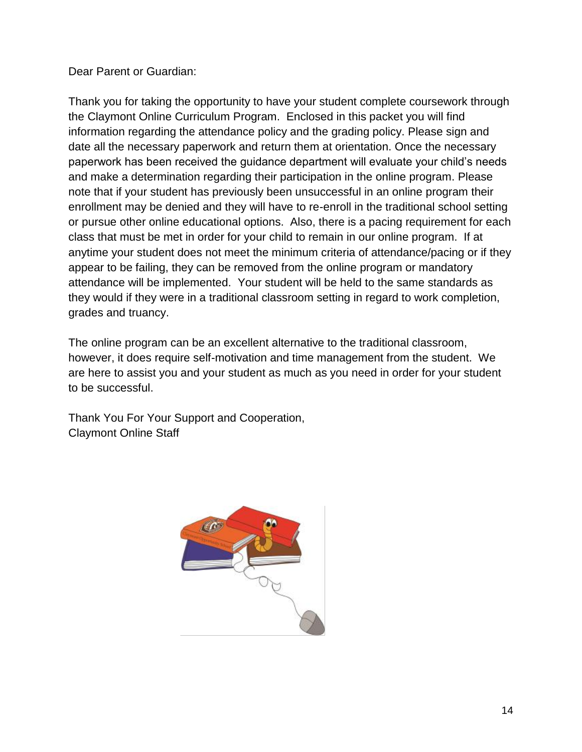Dear Parent or Guardian:

Thank you for taking the opportunity to have your student complete coursework through the Claymont Online Curriculum Program. Enclosed in this packet you will find information regarding the attendance policy and the grading policy. Please sign and date all the necessary paperwork and return them at orientation. Once the necessary paperwork has been received the guidance department will evaluate your child's needs and make a determination regarding their participation in the online program. Please note that if your student has previously been unsuccessful in an online program their enrollment may be denied and they will have to re-enroll in the traditional school setting or pursue other online educational options. Also, there is a pacing requirement for each class that must be met in order for your child to remain in our online program. If at anytime your student does not meet the minimum criteria of attendance/pacing or if they appear to be failing, they can be removed from the online program or mandatory attendance will be implemented. Your student will be held to the same standards as they would if they were in a traditional classroom setting in regard to work completion, grades and truancy.

The online program can be an excellent alternative to the traditional classroom, however, it does require self-motivation and time management from the student. We are here to assist you and your student as much as you need in order for your student to be successful.

Thank You For Your Support and Cooperation, Claymont Online Staff

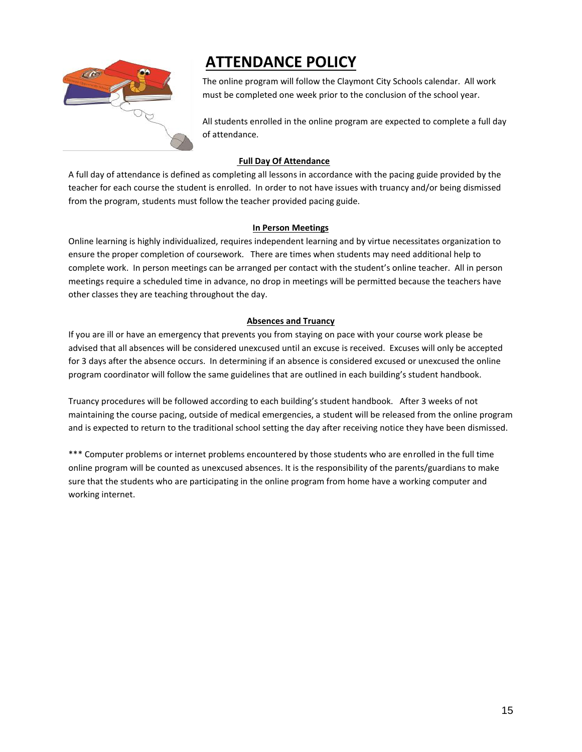

# **ATTENDANCE POLICY**

The online program will follow the Claymont City Schools calendar. All work must be completed one week prior to the conclusion of the school year.

All students enrolled in the online program are expected to complete a full day of attendance.

#### **Full Day Of Attendance**

A full day of attendance is defined as completing all lessons in accordance with the pacing guide provided by the teacher for each course the student is enrolled. In order to not have issues with truancy and/or being dismissed from the program, students must follow the teacher provided pacing guide.

#### **In Person Meetings**

Online learning is highly individualized, requires independent learning and by virtue necessitates organization to ensure the proper completion of coursework. There are times when students may need additional help to complete work. In person meetings can be arranged per contact with the student's online teacher. All in person meetings require a scheduled time in advance, no drop in meetings will be permitted because the teachers have other classes they are teaching throughout the day.

#### **Absences and Truancy**

If you are ill or have an emergency that prevents you from staying on pace with your course work please be advised that all absences will be considered unexcused until an excuse is received. Excuses will only be accepted for 3 days after the absence occurs. In determining if an absence is considered excused or unexcused the online program coordinator will follow the same guidelines that are outlined in each building's student handbook.

Truancy procedures will be followed according to each building's student handbook. After 3 weeks of not maintaining the course pacing, outside of medical emergencies, a student will be released from the online program and is expected to return to the traditional school setting the day after receiving notice they have been dismissed.

\*\*\* Computer problems or internet problems encountered by those students who are enrolled in the full time online program will be counted as unexcused absences. It is the responsibility of the parents/guardians to make sure that the students who are participating in the online program from home have a working computer and working internet.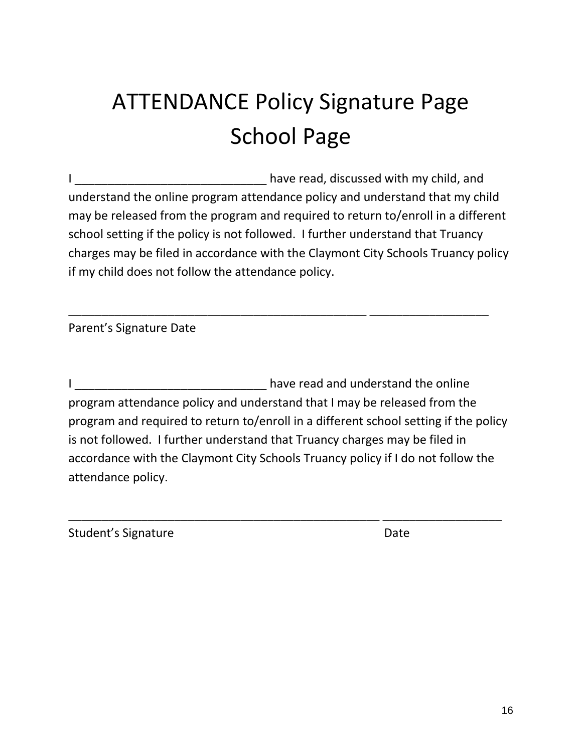# ATTENDANCE Policy Signature Page School Page

I consider the same of the basic have read, discussed with my child, and understand the online program attendance policy and understand that my child may be released from the program and required to return to/enroll in a different school setting if the policy is not followed. I further understand that Truancy charges may be filed in accordance with the Claymont City Schools Truancy policy if my child does not follow the attendance policy.

\_\_\_\_\_\_\_\_\_\_\_\_\_\_\_\_\_\_\_\_\_\_\_\_\_\_\_\_\_\_\_\_\_\_\_\_\_\_\_\_\_\_\_\_\_ \_\_\_\_\_\_\_\_\_\_\_\_\_\_\_\_\_\_

Parent's Signature Date

I \_\_\_\_\_\_\_\_\_\_\_\_\_\_\_\_\_\_\_\_\_\_\_\_\_\_\_\_\_ have read and understand the online program attendance policy and understand that I may be released from the program and required to return to/enroll in a different school setting if the policy is not followed. I further understand that Truancy charges may be filed in accordance with the Claymont City Schools Truancy policy if I do not follow the attendance policy.

\_\_\_\_\_\_\_\_\_\_\_\_\_\_\_\_\_\_\_\_\_\_\_\_\_\_\_\_\_\_\_\_\_\_\_\_\_\_\_\_\_\_\_\_\_\_\_ \_\_\_\_\_\_\_\_\_\_\_\_\_\_\_\_\_\_

Student's Signature **Date** Date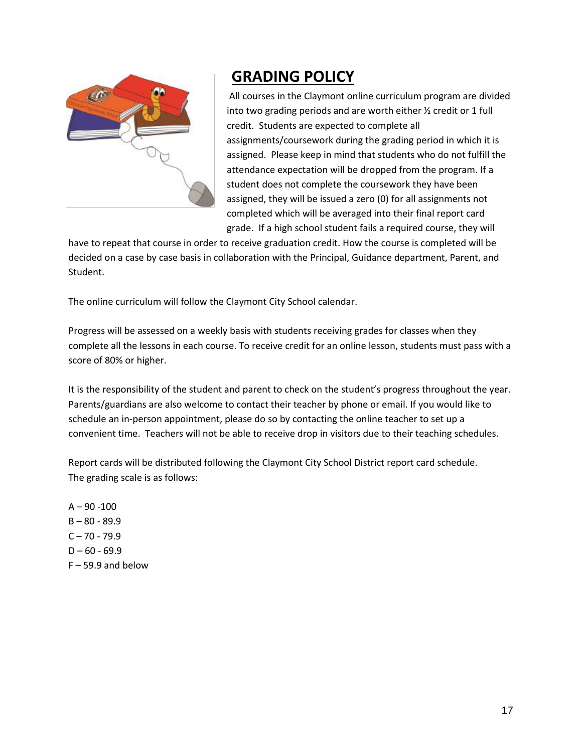

# **GRADING POLICY**

All courses in the Claymont online curriculum program are divided into two grading periods and are worth either ½ credit or 1 full credit. Students are expected to complete all assignments/coursework during the grading period in which it is assigned. Please keep in mind that students who do not fulfill the attendance expectation will be dropped from the program. If a student does not complete the coursework they have been assigned, they will be issued a zero (0) for all assignments not completed which will be averaged into their final report card grade. If a high school student fails a required course, they will

have to repeat that course in order to receive graduation credit. How the course is completed will be decided on a case by case basis in collaboration with the Principal, Guidance department, Parent, and Student.

The online curriculum will follow the Claymont City School calendar.

Progress will be assessed on a weekly basis with students receiving grades for classes when they complete all the lessons in each course. To receive credit for an online lesson, students must pass with a score of 80% or higher.

It is the responsibility of the student and parent to check on the student's progress throughout the year. Parents/guardians are also welcome to contact their teacher by phone or email. If you would like to schedule an in-person appointment, please do so by contacting the online teacher to set up a convenient time. Teachers will not be able to receive drop in visitors due to their teaching schedules.

Report cards will be distributed following the Claymont City School District report card schedule. The grading scale is as follows:

 $A - 90 - 100$  $B - 80 - 89.9$  $C - 70 - 79.9$  $D - 60 - 69.9$  $F - 59.9$  and below